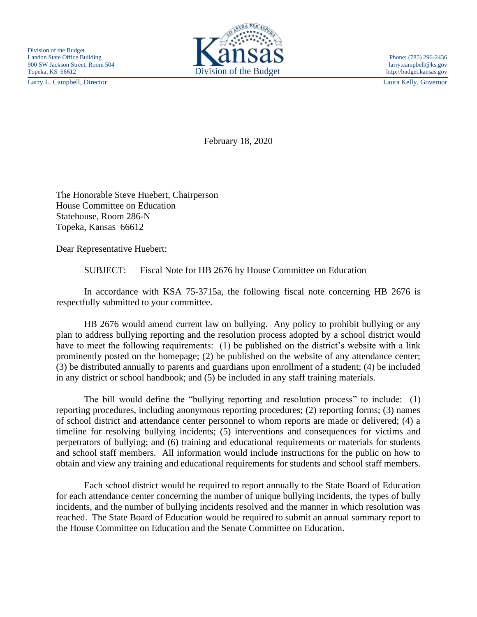Larry L. Campbell, Director Laura Kelly, Governor



February 18, 2020

The Honorable Steve Huebert, Chairperson House Committee on Education Statehouse, Room 286-N Topeka, Kansas 66612

Dear Representative Huebert:

SUBJECT: Fiscal Note for HB 2676 by House Committee on Education

In accordance with KSA 75-3715a, the following fiscal note concerning HB 2676 is respectfully submitted to your committee.

HB 2676 would amend current law on bullying. Any policy to prohibit bullying or any plan to address bullying reporting and the resolution process adopted by a school district would have to meet the following requirements: (1) be published on the district's website with a link prominently posted on the homepage; (2) be published on the website of any attendance center; (3) be distributed annually to parents and guardians upon enrollment of a student; (4) be included in any district or school handbook; and (5) be included in any staff training materials.

The bill would define the "bullying reporting and resolution process" to include: (1) reporting procedures, including anonymous reporting procedures; (2) reporting forms; (3) names of school district and attendance center personnel to whom reports are made or delivered; (4) a timeline for resolving bullying incidents; (5) interventions and consequences for victims and perpetrators of bullying; and (6) training and educational requirements or materials for students and school staff members. All information would include instructions for the public on how to obtain and view any training and educational requirements for students and school staff members.

Each school district would be required to report annually to the State Board of Education for each attendance center concerning the number of unique bullying incidents, the types of bully incidents, and the number of bullying incidents resolved and the manner in which resolution was reached. The State Board of Education would be required to submit an annual summary report to the House Committee on Education and the Senate Committee on Education.